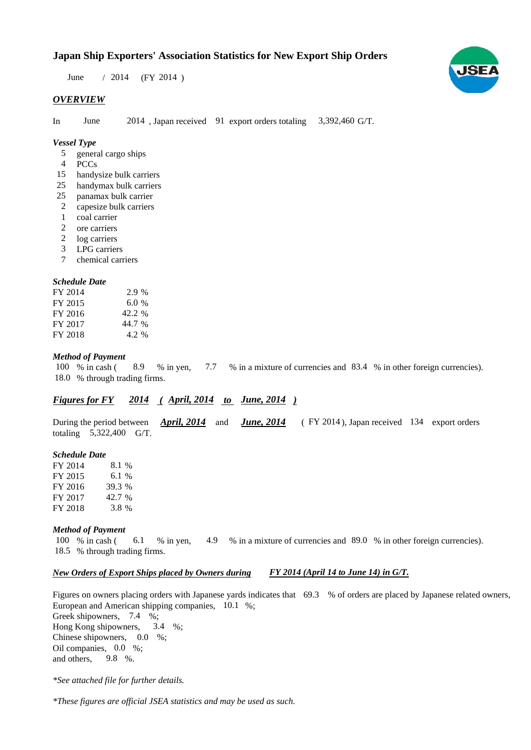# **Japan Ship Exporters' Association Statistics for New Export Ship Orders**

June / 2014 (FY 2014)

### *OVERVIEW*

In June 2014, Japan received 91 export orders totaling 3,392,460 G/T.

## *Vessel Type*

- general cargo ships 5
- PCCs 4
- handysize bulk carriers 15
- handymax bulk carriers 25
- panamax bulk carrier 25
- capesize bulk carriers 2
- coal carrier 1
- ore carriers 2
- 2 log carriers
- LPG carriers 3
- chemical carriers 7

#### *Schedule Date*

| FY 2014 | $2.9\%$ |
|---------|---------|
| FY 2015 | 6.0%    |
| FY 2016 | 42.2 %  |
| FY 2017 | 44.7 %  |
| FY 2018 | 4.2 %   |

#### *Method of Payment*

% in cash (8.9 % in yen, 7.7 % in a mixture of currencies and 83.4 % in other foreign currencies). 18.0 % through trading firms. 7.7 100 % in cash ( 8.9

# *Figures for FY* 2014 (*April, 2014 to June, 2014* )

During the period between *April, 2014* and *June, 2014* (FY 2014), Japan received 134 export orders totaling  $5,322,400$  G/T.

#### *Schedule Date*

FY 2014 FY 2015 FY 2016 FY 2017 FY 2018 39.3 8.1 % 6.1 % 42.7 % 3.8

#### *Method of Payment*

% in cash ( 6.1 % in yen, 4.9 % in a mixture of currencies and 89.0 % in other foreign currencies). % through trading firms. 18.5 100 % in cash (

#### *New Orders of Export Ships placed by Owners during FY 2014 (April 14 to June 14) in G/T.*

Figures on owners placing orders with Japanese yards indicates that  $69.3$  % of orders are placed by Japanese related owners, European and American shipping companies, 10.1 %;

Greek shipowners, 7.4 %; Hong Kong shipowners,  $3.4\%$ ; Chinese shipowners,  $0.0\%$ ; Oil companies, 0.0 %; and others, 3.4  $9.8\%$ .

*\*See attached file for further details.*

*\*These figures are official JSEA statistics and may be used as such.*

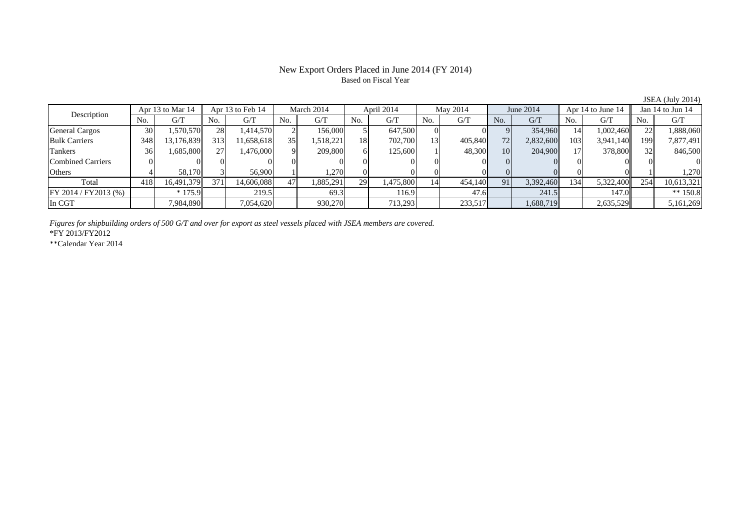# New Export Orders Placed in June 2014 (FY 2014) Based on Fiscal Year

| June 2014<br>Jan 14 to Jun 14<br>Apr 14 to June 14       |     | May 2014 |                | April 2014 |     | March 2014 |     | Apr 13 to Feb 14 |     | Apr 13 to Mar 14 |                 | Description                    |
|----------------------------------------------------------|-----|----------|----------------|------------|-----|------------|-----|------------------|-----|------------------|-----------------|--------------------------------|
| G/T<br>G/T<br>No.<br>No.<br>G/T                          | No. | G/T      | N <sub>0</sub> | G/T        | No. | G/T        | No. | G/T              | No. | G/T              | No.             |                                |
| 354,960<br>1,002,460<br>1,888,060<br>141                 |     |          |                | 647,500    |     | 156,000    |     | .414,570         | 28  | 1,570,570        | 30 <sup>1</sup> | <b>General Cargos</b>          |
| 72<br>103<br>3,941,140<br>7,877,491<br>2,832,600<br>199  |     | 405,840  | 13             | 702,700    | 18  | 1,518,221  | 35  | 1.658.618        | 313 | 13,176,839       | 348             | <b>Bulk Carriers</b>           |
| 204,900<br>378,800<br>846,500<br>10 <sup> </sup>         |     | 48,300   |                | 125,600    |     | 209,800    | Q.  | ,476,000         | 27  | 1,685,800        | 36              | Tankers                        |
|                                                          |     |          |                |            |     |            |     |                  |     |                  |                 | <b>Combined Carriers</b>       |
| 1.270                                                    |     |          |                |            |     | .270       |     | 56,900           |     | 58.170           |                 | Others                         |
| 91<br>3,392,460<br>134<br>5,322,400<br>254<br>10,613,321 |     | 454,140  | 14             | 1,475,800  | 29  | .885,291   | 47  | 14.606.088       | 371 | 16,491,379       | 418             | Total                          |
| ** $150.8$<br>241.5<br>147.0                             |     | 47.6     |                | 116.9      |     | 69.3       |     | 219.5            |     | $*175.9$         |                 |                                |
| 2,635,529<br>1,688,719<br>5,161,269                      |     | 233,517  |                | 713,293    |     | 930,270    |     | 7,054,620        |     | 7,984,890        |                 |                                |
|                                                          |     |          |                |            |     |            |     |                  |     |                  |                 | FY 2014 / FY2013 (%)<br>In CGT |

*Figures for shipbuilding orders of 500 G/T and over for export as steel vessels placed with JSEA members are covered.*

\*FY 2013/FY2012

\*\*Calendar Year 2014

JSEA (July 2014)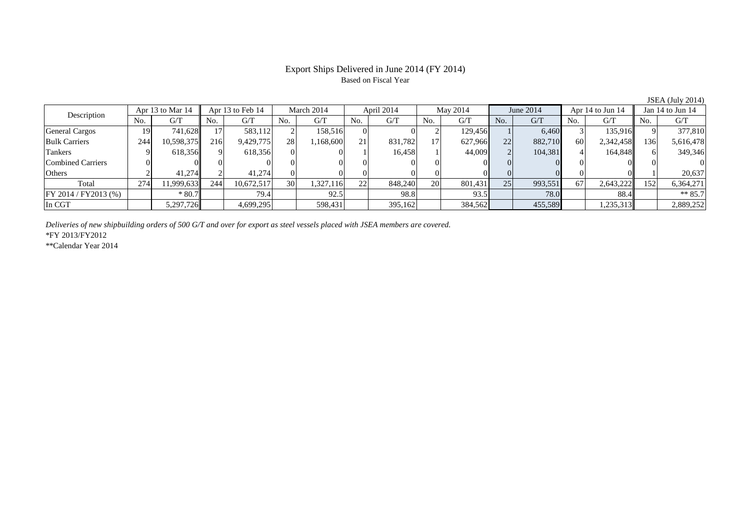### Export Ships Delivered in June 2014 (FY 2014) Based on Fiscal Year

No. G/T No. G/T No. G/T No. G/T No. G/T No. G/T No. G/T No. G/T $G/T$ General Cargos ( 19 741,628 17 583,112 2 158,516 0 0 2 129,456 1 6,460 3 135,916 9 377,810 Bulk Carriers 244 10,598,375 216 9,429,775 28 1,168,600 21 831,782 17 627,966 22 882,710 60 2,342,458 136 5,616,478 Tankers 9 618,356 9 618,356 0 0 1 16,458 1 44,009 2 104,381 4 164,848 6 349,346 Combined Carriers 0 0 0 0 0 0 0 0 0 0 0 0 0 0 0 0Others 2 41,274 2 41,274 0 0 0 0 0 0 0 0 0 0 1 20,637 Total 274 11,999,633 244 10,672,517 30 1,327,116 22 848,240 20 801,431 25 993,551 67 2,643,222 152 6,364,271 FY 2014 / FY2013 (%) \* 80.7 \* 80.7 79.4 79.4 92.5 98.8 98.8 93.5 78.0 78.0 88.4 \*\* 85.7 In CGT | | 5,297,726|| | 4,699,295| | 598,431| | 395,162| | 384,562| | 455,589| | 1,235,313|| | 2,889,252 Description Apr 13 to Mar 14 Apr 13 to Feb 14 March 2014 April 2014 May 2014 June 2014 Apr 14 to Jun 14 Jan 14 to Jun 14

*Deliveries of new shipbuilding orders of 500 G/T and over for export as steel vessels placed with JSEA members are covered.*

\*FY 2013/FY2012

\*\*Calendar Year 2014

JSEA (July 2014)